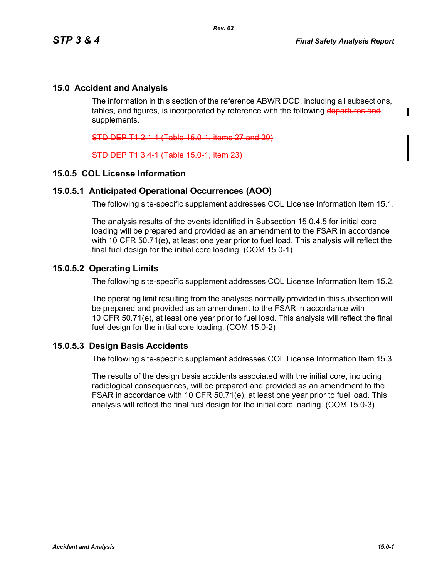Π

## **15.0 Accident and Analysis**

The information in this section of the reference ABWR DCD, including all subsections, tables, and figures, is incorporated by reference with the following departures and supplements.

STD DEP T1 2.1-1 (Table 15.0-1, items 27 and 29)

STD DEP T1 3.4-1 (Table 15.0-1, item 23)

### **15.0.5 COL License Information**

#### **15.0.5.1 Anticipated Operational Occurrences (AOO)**

The following site-specific supplement addresses COL License Information Item 15.1.

The analysis results of the events identified in Subsection 15.0.4.5 for initial core loading will be prepared and provided as an amendment to the FSAR in accordance with 10 CFR 50.71(e), at least one year prior to fuel load. This analysis will reflect the final fuel design for the initial core loading. (COM 15.0-1)

### **15.0.5.2 Operating Limits**

The following site-specific supplement addresses COL License Information Item 15.2.

The operating limit resulting from the analyses normally provided in this subsection will be prepared and provided as an amendment to the FSAR in accordance with 10 CFR 50.71(e), at least one year prior to fuel load. This analysis will reflect the final fuel design for the initial core loading. (COM 15.0-2)

### **15.0.5.3 Design Basis Accidents**

The following site-specific supplement addresses COL License Information Item 15.3.

The results of the design basis accidents associated with the initial core, including radiological consequences, will be prepared and provided as an amendment to the FSAR in accordance with 10 CFR 50.71(e), at least one year prior to fuel load. This analysis will reflect the final fuel design for the initial core loading. (COM 15.0-3)